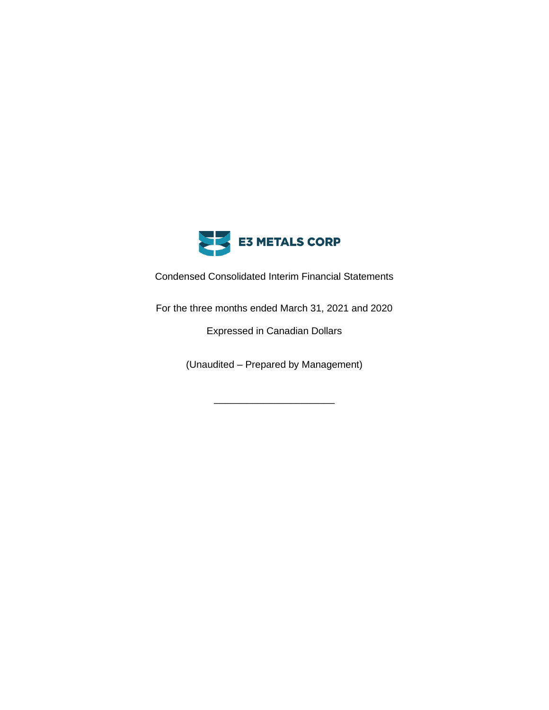

Condensed Consolidated Interim Financial Statements

For the three months ended March 31, 2021 and 2020

Expressed in Canadian Dollars

(Unaudited – Prepared by Management)

\_\_\_\_\_\_\_\_\_\_\_\_\_\_\_\_\_\_\_\_\_\_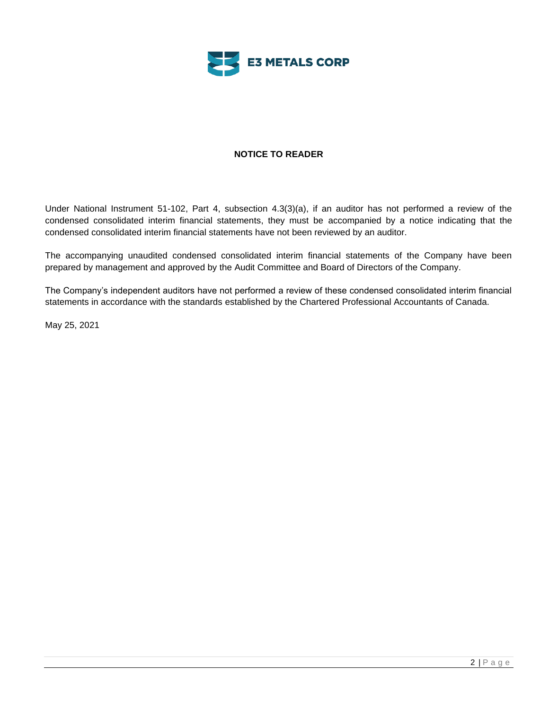

# **NOTICE TO READER**

Under National Instrument 51-102, Part 4, subsection 4.3(3)(a), if an auditor has not performed a review of the condensed consolidated interim financial statements, they must be accompanied by a notice indicating that the condensed consolidated interim financial statements have not been reviewed by an auditor.

The accompanying unaudited condensed consolidated interim financial statements of the Company have been prepared by management and approved by the Audit Committee and Board of Directors of the Company.

The Company's independent auditors have not performed a review of these condensed consolidated interim financial statements in accordance with the standards established by the Chartered Professional Accountants of Canada.

May 25, 2021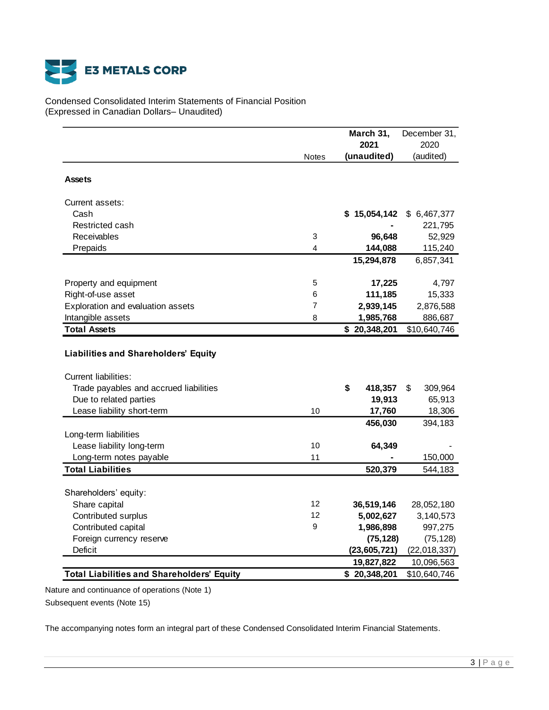

Condensed Consolidated Interim Statements of Financial Position (Expressed in Canadian Dollars– Unaudited)

|                                                                            |              | March 31,        | December 31,  |
|----------------------------------------------------------------------------|--------------|------------------|---------------|
|                                                                            |              | 2021             | 2020          |
|                                                                            | <b>Notes</b> | (unaudited)      | (audited)     |
| <b>Assets</b>                                                              |              |                  |               |
| Current assets:                                                            |              |                  |               |
| Cash                                                                       |              | 15,054,142<br>\$ | \$6,467,377   |
| Restricted cash                                                            |              |                  | 221,795       |
| Receivables                                                                | 3            | 96,648           | 52,929        |
| Prepaids                                                                   | 4            | 144,088          | 115,240       |
|                                                                            |              | 15,294,878       | 6,857,341     |
| Property and equipment                                                     | 5            | 17,225           | 4,797         |
| Right-of-use asset                                                         | 6            | 111,185          | 15,333        |
| Exploration and evaluation assets                                          | 7            | 2,939,145        | 2,876,588     |
| Intangible assets                                                          | 8            | 1,985,768        | 886,687       |
| <b>Total Assets</b>                                                        |              | \$20,348,201     | \$10,640,746  |
| <b>Liabilities and Shareholders' Equity</b><br><b>Current liabilities:</b> |              |                  |               |
| Trade payables and accrued liabilities                                     |              | \$<br>418,357    | \$<br>309,964 |
| Due to related parties                                                     |              | 19,913           | 65,913        |
| Lease liability short-term                                                 | 10           | 17,760           | 18,306        |
| Long-term liabilities                                                      |              | 456,030          | 394,183       |
| Lease liability long-term                                                  | 10           | 64,349           |               |
| Long-term notes payable                                                    | 11           |                  | 150,000       |
| <b>Total Liabilities</b>                                                   |              | 520,379          | 544,183       |
|                                                                            |              |                  |               |
| Shareholders' equity:                                                      |              |                  |               |
| Share capital                                                              | 12           | 36,519,146       | 28,052,180    |
| Contributed surplus                                                        | 12           | 5,002,627        | 3,140,573     |
| Contributed capital                                                        | 9            | 1,986,898        | 997,275       |
| Foreign currency reserve                                                   |              | (75, 128)        | (75, 128)     |
| Deficit                                                                    |              | (23, 605, 721)   | (22,018,337)  |
|                                                                            |              | 19,827,822       | 10,096,563    |
| <b>Total Liabilities and Shareholders' Equity</b>                          |              | \$20,348,201     | \$10,640,746  |

Nature and continuance of operations (Note 1)

Subsequent events (Note 15)

The accompanying notes form an integral part of these Condensed Consolidated Interim Financial Statements.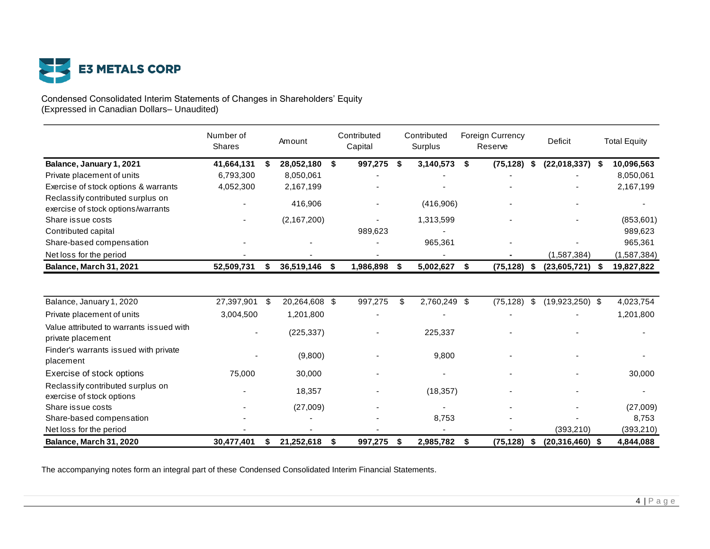

#### Condensed Consolidated Interim Statements of Changes in Shareholders' Equity (Expressed in Canadian Dollars– Unaudited)

|                                                                         | Number of<br>Shares |    | Amount        |    | Contributed<br>Capital |    | Contributed<br>Surplus |     | <b>Foreign Currency</b><br>Reserve |      | Deficit             |     | <b>Total Equity</b> |
|-------------------------------------------------------------------------|---------------------|----|---------------|----|------------------------|----|------------------------|-----|------------------------------------|------|---------------------|-----|---------------------|
| Balance, January 1, 2021                                                | 41,664,131          | S  | 28,052,180    | \$ | 997,275                | S  | 3,140,573              | \$  | (75, 128)                          | - \$ | (22,018,337)        | -\$ | 10,096,563          |
| Private placement of units                                              | 6,793,300           |    | 8,050,061     |    |                        |    |                        |     |                                    |      |                     |     | 8,050,061           |
| Exercise of stock options & warrants                                    | 4,052,300           |    | 2,167,199     |    |                        |    |                        |     |                                    |      |                     |     | 2,167,199           |
| Reclassify contributed surplus on<br>exercise of stock options/warrants |                     |    | 416,906       |    |                        |    | (416,906)              |     |                                    |      |                     |     |                     |
| Share issue costs                                                       |                     |    | (2,167,200)   |    |                        |    | 1,313,599              |     |                                    |      |                     |     | (853,601)           |
| Contributed capital                                                     |                     |    |               |    | 989,623                |    |                        |     |                                    |      |                     |     | 989,623             |
| Share-based compensation                                                |                     |    |               |    |                        |    | 965,361                |     |                                    |      |                     |     | 965,361             |
| Net loss for the period                                                 |                     |    |               |    |                        |    |                        |     |                                    |      | (1,587,384)         |     | (1,587,384)         |
| Balance, March 31, 2021                                                 | 52,509,731          | S  | 36,519,146    | S  | 1,986,898              | S  | 5,002,627              | \$  | (75, 128)                          | \$   | (23,605,721)        | - S | 19,827,822          |
| Balance, January 1, 2020                                                | 27,397,901          | \$ | 20,264,608 \$ |    | 997,275                | \$ | 2,760,249              | -\$ | (75, 128)                          | \$   | $(19,923,250)$ \$   |     | 4,023,754           |
| Private placement of units                                              | 3,004,500           |    | 1,201,800     |    |                        |    |                        |     |                                    |      |                     |     | 1,201,800           |
| Value attributed to warrants issued with<br>private placement           |                     |    | (225, 337)    |    |                        |    | 225,337                |     |                                    |      |                     |     |                     |
| Finder's warrants issued with private<br>placement                      |                     |    | (9,800)       |    |                        |    | 9,800                  |     |                                    |      |                     |     |                     |
| Exercise of stock options                                               | 75,000              |    | 30,000        |    |                        |    |                        |     |                                    |      |                     |     | 30,000              |
| Reclassify contributed surplus on<br>exercise of stock options          |                     |    | 18,357        |    |                        |    | (18, 357)              |     |                                    |      |                     |     |                     |
| Share issue costs                                                       |                     |    | (27,009)      |    |                        |    |                        |     |                                    |      |                     |     | (27,009)            |
| Share-based compensation                                                |                     |    |               |    |                        |    | 8,753                  |     |                                    |      |                     |     | 8,753               |
| Net loss for the period                                                 |                     |    |               |    |                        |    |                        |     |                                    |      | (393, 210)          |     | (393, 210)          |
| Balance, March 31, 2020                                                 | 30,477,401          | \$ | 21,252,618    | \$ | 997,275                | \$ | 2,985,782              | \$  | (75, 128)                          | \$   | $(20, 316, 460)$ \$ |     | 4,844,088           |

The accompanying notes form an integral part of these Condensed Consolidated Interim Financial Statements.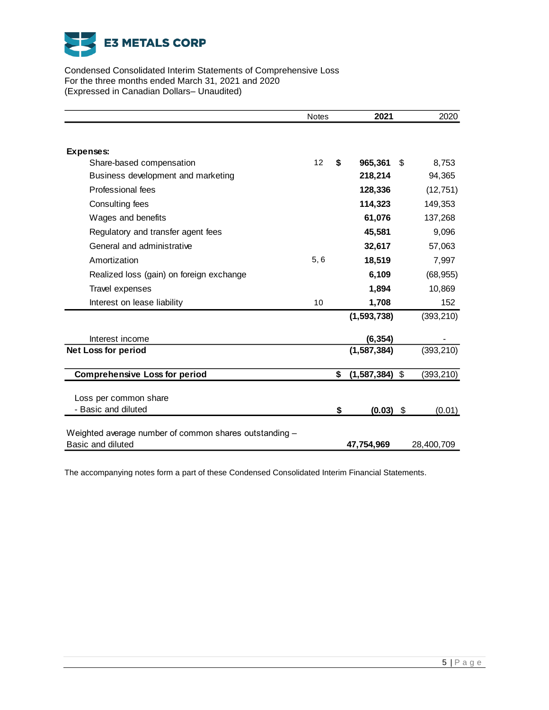

Condensed Consolidated Interim Statements of Comprehensive Loss For the three months ended March 31, 2021 and 2020 (Expressed in Canadian Dollars– Unaudited)

|                                                        | <b>Notes</b> | 2021                   |     | 2020       |
|--------------------------------------------------------|--------------|------------------------|-----|------------|
|                                                        |              |                        |     |            |
| Expenses:                                              |              |                        |     |            |
| Share-based compensation                               | 12           | \$<br>965,361          | \$. | 8,753      |
| Business development and marketing                     |              | 218,214                |     | 94,365     |
| Professional fees                                      |              | 128,336                |     | (12, 751)  |
| Consulting fees                                        |              | 114,323                |     | 149,353    |
| Wages and benefits                                     |              | 61,076                 |     | 137,268    |
| Regulatory and transfer agent fees                     |              | 45,581                 |     | 9,096      |
| General and administrative                             |              | 32,617                 |     | 57,063     |
| Amortization                                           | 5, 6         | 18,519                 |     | 7,997      |
| Realized loss (gain) on foreign exchange               |              | 6,109                  |     | (68, 955)  |
| Travel expenses                                        |              | 1,894                  |     | 10,869     |
| Interest on lease liability                            | 10           | 1,708                  |     | 152        |
|                                                        |              | (1, 593, 738)          |     | (393, 210) |
| Interest income                                        |              | (6, 354)               |     |            |
| <b>Net Loss for period</b>                             |              | (1, 587, 384)          |     | (393, 210) |
| <b>Comprehensive Loss for period</b>                   |              | \$<br>$(1,587,384)$ \$ |     | (393,210)  |
|                                                        |              |                        |     |            |
| Loss per common share                                  |              |                        |     |            |
| - Basic and diluted                                    |              | \$<br>$(0.03)$ \$      |     | (0.01)     |
| Weighted average number of common shares outstanding - |              |                        |     |            |
| Basic and diluted                                      |              | 47,754,969             |     | 28,400,709 |

The accompanying notes form a part of these Condensed Consolidated Interim Financial Statements.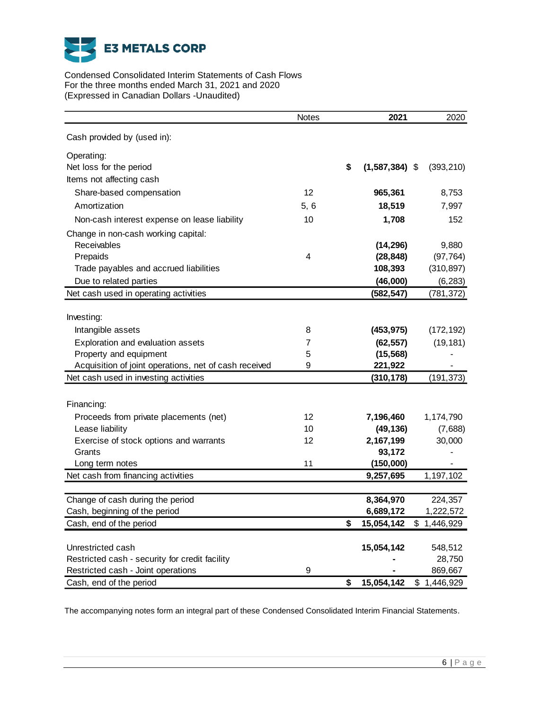

Condensed Consolidated Interim Statements of Cash Flows For the three months ended March 31, 2021 and 2020 (Expressed in Canadian Dollars -Unaudited)

|                                                       | Notes                   | 2021                   |             | 2020       |
|-------------------------------------------------------|-------------------------|------------------------|-------------|------------|
| Cash provided by (used in):                           |                         |                        |             |            |
| Operating:                                            |                         |                        |             |            |
| Net loss for the period                               |                         | \$<br>$(1,587,384)$ \$ |             | (393, 210) |
| Items not affecting cash                              |                         |                        |             |            |
| Share-based compensation                              | 12                      | 965,361                |             | 8,753      |
| Amortization                                          | 5, 6                    | 18,519                 |             | 7,997      |
| Non-cash interest expense on lease liability          | 10                      | 1,708                  |             | 152        |
| Change in non-cash working capital:                   |                         |                        |             |            |
| Receivables                                           |                         | (14, 296)              |             | 9,880      |
| Prepaids                                              | $\overline{\mathbf{4}}$ | (28, 848)              |             | (97, 764)  |
| Trade payables and accrued liabilities                |                         | 108,393                |             | (310, 897) |
| Due to related parties                                |                         | (46,000)               |             | (6, 283)   |
| Net cash used in operating activities                 |                         | (582, 547)             |             | (781, 372) |
|                                                       |                         |                        |             |            |
| Investing:                                            |                         |                        |             |            |
| Intangible assets                                     | 8                       | (453, 975)             |             | (172, 192) |
| Exploration and evaluation assets                     | 7                       | (62, 557)              |             | (19, 181)  |
| Property and equipment                                | 5                       | (15, 568)              |             |            |
| Acquisition of joint operations, net of cash received | 9                       | 221,922                |             |            |
| Net cash used in investing activities                 |                         | (310, 178)             |             | (191, 373) |
|                                                       |                         |                        |             |            |
| Financing:                                            |                         |                        |             |            |
| Proceeds from private placements (net)                | 12                      | 7,196,460              |             | 1,174,790  |
| Lease liability                                       | 10                      | (49, 136)              |             | (7,688)    |
| Exercise of stock options and warrants                | 12                      | 2,167,199              |             | 30,000     |
| Grants                                                |                         | 93,172                 |             |            |
| Long term notes                                       | 11                      | (150,000)              |             |            |
| Net cash from financing activities                    |                         | 9,257,695              |             | 1,197,102  |
|                                                       |                         |                        |             |            |
| Change of cash during the period                      |                         | 8,364,970              |             | 224,357    |
| Cash, beginning of the period                         |                         | 6,689,172              |             | 1,222,572  |
| Cash, end of the period                               |                         | \$<br>15,054,142       | \$1,446,929 |            |
|                                                       |                         |                        |             |            |
| Unrestricted cash                                     |                         | 15,054,142             |             | 548,512    |
| Restricted cash - security for credit facility        |                         |                        |             | 28,750     |
| Restricted cash - Joint operations                    | 9                       |                        |             | 869,667    |
| Cash, end of the period                               |                         | \$<br>15,054,142       | \$1,446,929 |            |

The accompanying notes form an integral part of these Condensed Consolidated Interim Financial Statements.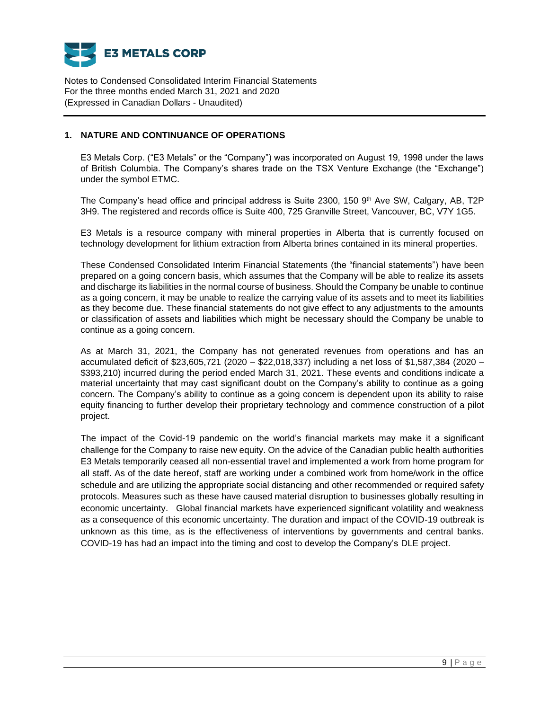

# **1. NATURE AND CONTINUANCE OF OPERATIONS**

E3 Metals Corp. ("E3 Metals" or the "Company") was incorporated on August 19, 1998 under the laws of British Columbia. The Company's shares trade on the TSX Venture Exchange (the "Exchange") under the symbol ETMC.

The Company's head office and principal address is Suite 2300, 150 9 th Ave SW, Calgary, AB, T2P 3H9. The registered and records office is Suite 400, 725 Granville Street, Vancouver, BC, V7Y 1G5.

E3 Metals is a resource company with mineral properties in Alberta that is currently focused on technology development for lithium extraction from Alberta brines contained in its mineral properties.

These Condensed Consolidated Interim Financial Statements (the "financial statements") have been prepared on a going concern basis, which assumes that the Company will be able to realize its assets and discharge its liabilities in the normal course of business. Should the Company be unable to continue as a going concern, it may be unable to realize the carrying value of its assets and to meet its liabilities as they become due. These financial statements do not give effect to any adjustments to the amounts or classification of assets and liabilities which might be necessary should the Company be unable to continue as a going concern.

As at March 31, 2021, the Company has not generated revenues from operations and has an accumulated deficit of \$23,605,721 (2020 – \$22,018,337) including a net loss of \$1,587,384 (2020 – \$393,210) incurred during the period ended March 31, 2021. These events and conditions indicate a material uncertainty that may cast significant doubt on the Company's ability to continue as a going concern. The Company's ability to continue as a going concern is dependent upon its ability to raise equity financing to further develop their proprietary technology and commence construction of a pilot project.

The impact of the Covid-19 pandemic on the world's financial markets may make it a significant challenge for the Company to raise new equity. On the advice of the Canadian public health authorities E3 Metals temporarily ceased all non-essential travel and implemented a work from home program for all staff. As of the date hereof, staff are working under a combined work from home/work in the office schedule and are utilizing the appropriate social distancing and other recommended or required safety protocols. Measures such as these have caused material disruption to businesses globally resulting in economic uncertainty. Global financial markets have experienced significant volatility and weakness as a consequence of this economic uncertainty. The duration and impact of the COVID-19 outbreak is unknown as this time, as is the effectiveness of interventions by governments and central banks. COVID-19 has had an impact into the timing and cost to develop the Company's DLE project.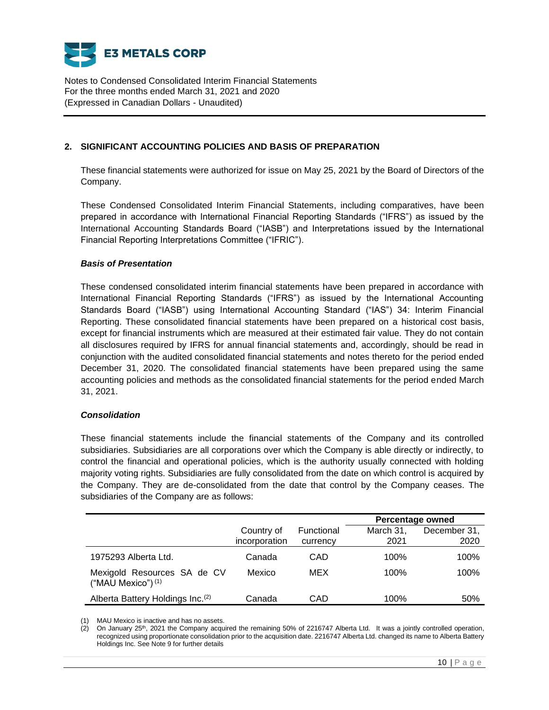

# **2. SIGNIFICANT ACCOUNTING POLICIES AND BASIS OF PREPARATION**

These financial statements were authorized for issue on May 25, 2021 by the Board of Directors of the Company.

These Condensed Consolidated Interim Financial Statements, including comparatives, have been prepared in accordance with International Financial Reporting Standards ("IFRS") as issued by the International Accounting Standards Board ("IASB") and Interpretations issued by the International Financial Reporting Interpretations Committee ("IFRIC").

## *Basis of Presentation*

These condensed consolidated interim financial statements have been prepared in accordance with International Financial Reporting Standards ("IFRS") as issued by the International Accounting Standards Board ("IASB") using International Accounting Standard ("IAS") 34: Interim Financial Reporting. These consolidated financial statements have been prepared on a historical cost basis, except for financial instruments which are measured at their estimated fair value. They do not contain all disclosures required by IFRS for annual financial statements and, accordingly, should be read in conjunction with the audited consolidated financial statements and notes thereto for the period ended December 31, 2020. The consolidated financial statements have been prepared using the same accounting policies and methods as the consolidated financial statements for the period ended March 31, 2021.

#### *Consolidation*

These financial statements include the financial statements of the Company and its controlled subsidiaries. Subsidiaries are all corporations over which the Company is able directly or indirectly, to control the financial and operational policies, which is the authority usually connected with holding majority voting rights. Subsidiaries are fully consolidated from the date on which control is acquired by the Company. They are de-consolidated from the date that control by the Company ceases. The subsidiaries of the Company are as follows:

|                                                   |                             |                        | <b>Percentage owned</b> |                      |  |  |
|---------------------------------------------------|-----------------------------|------------------------|-------------------------|----------------------|--|--|
|                                                   | Country of<br>incorporation | Functional<br>currency | March 31.<br>2021       | December 31.<br>2020 |  |  |
| 1975293 Alberta Ltd.                              | Canada                      | CAD                    | 100%                    | 100%                 |  |  |
| Mexigold Resources SA de CV<br>("MAU Mexico") (1) | Mexico                      | MEX.                   | 100%                    | 100%                 |  |  |
| Alberta Battery Holdings Inc. <sup>(2)</sup>      | Canada                      | CAD                    | 100%                    | 50%                  |  |  |

(1) MAU Mexico is inactive and has no assets.

(2) On January 25th, 2021 the Company acquired the remaining 50% of 2216747 Alberta Ltd. It was a jointly controlled operation, recognized using proportionate consolidation prior to the acquisition date. 2216747 Alberta Ltd. changed its name to Alberta Battery Holdings Inc. See Note 9 for further details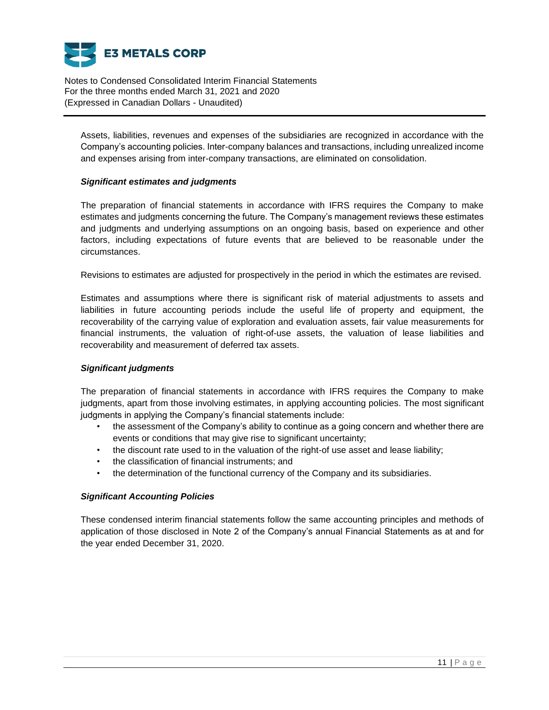

Assets, liabilities, revenues and expenses of the subsidiaries are recognized in accordance with the Company's accounting policies. Inter-company balances and transactions, including unrealized income and expenses arising from inter-company transactions, are eliminated on consolidation.

#### *Significant estimates and judgments*

The preparation of financial statements in accordance with IFRS requires the Company to make estimates and judgments concerning the future. The Company's management reviews these estimates and judgments and underlying assumptions on an ongoing basis, based on experience and other factors, including expectations of future events that are believed to be reasonable under the circumstances.

Revisions to estimates are adjusted for prospectively in the period in which the estimates are revised.

Estimates and assumptions where there is significant risk of material adjustments to assets and liabilities in future accounting periods include the useful life of property and equipment, the recoverability of the carrying value of exploration and evaluation assets, fair value measurements for financial instruments, the valuation of right-of-use assets, the valuation of lease liabilities and recoverability and measurement of deferred tax assets.

# *Significant judgments*

The preparation of financial statements in accordance with IFRS requires the Company to make judgments, apart from those involving estimates, in applying accounting policies. The most significant judgments in applying the Company's financial statements include:

- the assessment of the Company's ability to continue as a going concern and whether there are events or conditions that may give rise to significant uncertainty;
- the discount rate used to in the valuation of the right-of use asset and lease liability;
- the classification of financial instruments; and
- the determination of the functional currency of the Company and its subsidiaries.

# *Significant Accounting Policies*

These condensed interim financial statements follow the same accounting principles and methods of application of those disclosed in Note 2 of the Company's annual Financial Statements as at and for the year ended December 31, 2020.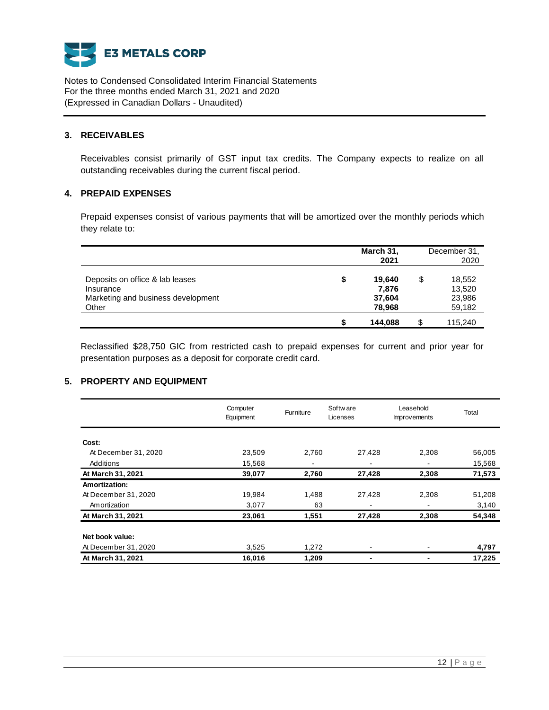

## **3. RECEIVABLES**

Receivables consist primarily of GST input tax credits. The Company expects to realize on all outstanding receivables during the current fiscal period.

# **4. PREPAID EXPENSES**

Prepaid expenses consist of various payments that will be amortized over the monthly periods which they relate to:

|                                    |    | March 31,<br>2021 |    | December 31,<br>2020 |
|------------------------------------|----|-------------------|----|----------------------|
| Deposits on office & lab leases    | \$ | 19.640            | \$ | 18,552               |
| Insurance                          |    | 7.876             |    | 13,520               |
| Marketing and business development |    | 37,604            |    | 23,986               |
| Other                              |    | 78,968            |    | 59,182               |
|                                    | S  | 144,088           | S  | 115,240              |

Reclassified \$28,750 GIC from restricted cash to prepaid expenses for current and prior year for presentation purposes as a deposit for corporate credit card.

## **5. PROPERTY AND EQUIPMENT**

|                      | Computer<br>Equipment | Furniture | Softw are<br>Licenses | Leasehold<br><b>Improvements</b> | Total  |
|----------------------|-----------------------|-----------|-----------------------|----------------------------------|--------|
| Cost:                |                       |           |                       |                                  |        |
| At December 31, 2020 | 23.509                | 2.760     | 27,428                | 2,308                            | 56,005 |
| Additions            | 15,568                | ۰         |                       |                                  | 15,568 |
| At March 31, 2021    | 39,077                | 2,760     | 27,428                | 2,308                            | 71,573 |
| Amortization:        |                       |           |                       |                                  |        |
| At December 31, 2020 | 19,984                | 1,488     | 27,428                | 2,308                            | 51,208 |
| Amortization         | 3,077                 | 63        |                       |                                  | 3,140  |
| At March 31, 2021    | 23,061                | 1,551     | 27,428                | 2,308                            | 54,348 |
| Net book value:      |                       |           |                       |                                  |        |
| At December 31, 2020 | 3,525                 | 1,272     |                       |                                  | 4,797  |
| At March 31, 2021    | 16,016                | 1,209     |                       |                                  | 17,225 |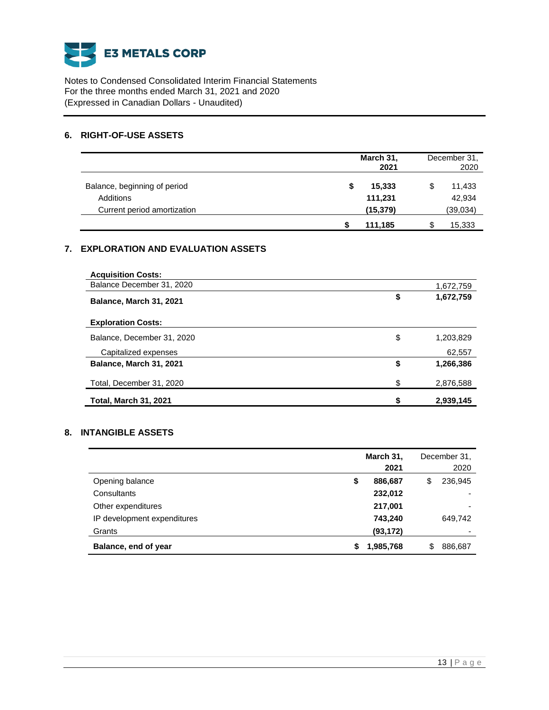

# **6. RIGHT-OF-USE ASSETS**

|                              | March 31,    |   | December 31, |
|------------------------------|--------------|---|--------------|
|                              | 2021         |   | 2020         |
| Balance, beginning of period | 15,333<br>\$ | S | 11,433       |
| Additions                    | 111,231      |   | 42,934       |
| Current period amortization  | (15, 379)    |   | (39,034)     |
|                              | 111,185      | S | 15,333       |

# **7. EXPLORATION AND EVALUATION ASSETS**

| <b>Acquisition Costs:</b>    |    |           |
|------------------------------|----|-----------|
| Balance December 31, 2020    |    | 1,672,759 |
| Balance, March 31, 2021      | \$ | 1,672,759 |
| <b>Exploration Costs:</b>    |    |           |
| Balance, December 31, 2020   | \$ | 1,203,829 |
| Capitalized expenses         |    | 62,557    |
| Balance, March 31, 2021      | \$ | 1,266,386 |
| Total, December 31, 2020     | \$ | 2,876,588 |
| <b>Total, March 31, 2021</b> | S  | 2,939,145 |

# **8. INTANGIBLE ASSETS**

|                             | March 31, |           |    | December 31, |
|-----------------------------|-----------|-----------|----|--------------|
|                             |           | 2021      |    | 2020         |
| Opening balance             | \$        | 886,687   | \$ | 236,945      |
| Consultants                 |           | 232,012   |    |              |
| Other expenditures          |           | 217,001   |    |              |
| IP development expenditures |           | 743.240   |    | 649.742      |
| Grants                      |           | (93, 172) |    |              |
| Balance, end of year        | S         | 1,985,768 | S  | 886,687      |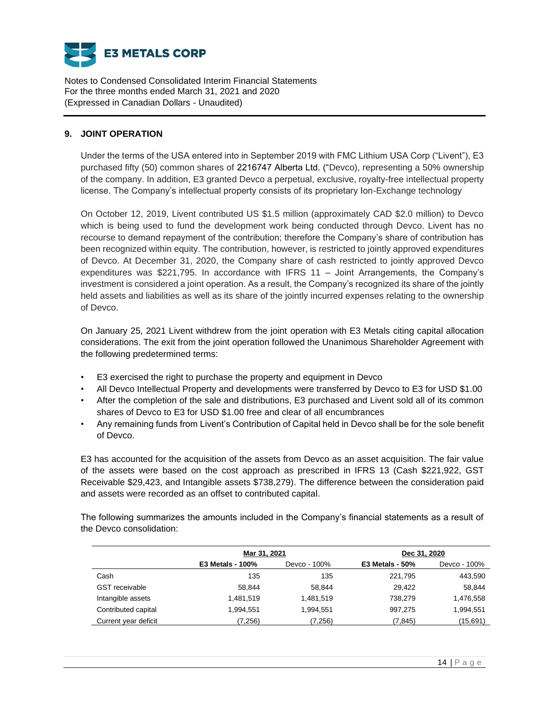

# **9. JOINT OPERATION**

Under the terms of the USA entered into in September 2019 with FMC Lithium USA Corp ("Livent"), E3 purchased fifty (50) common shares of 2216747 Alberta Ltd. ("Devco), representing a 50% ownership of the company. In addition, E3 granted Devco a perpetual, exclusive, royalty-free intellectual property license. The Company's intellectual property consists of its proprietary Ion-Exchange technology

On October 12, 2019, Livent contributed US \$1.5 million (approximately CAD \$2.0 million) to Devco which is being used to fund the development work being conducted through Devco. Livent has no recourse to demand repayment of the contribution; therefore the Company's share of contribution has been recognized within equity. The contribution, however, is restricted to jointly approved expenditures of Devco. At December 31, 2020, the Company share of cash restricted to jointly approved Devco expenditures was \$221,795. In accordance with IFRS 11 – Joint Arrangements, the Company's investment is considered a joint operation. As a result, the Company's recognized its share of the jointly held assets and liabilities as well as its share of the jointly incurred expenses relating to the ownership of Devco.

On January 25, 2021 Livent withdrew from the joint operation with E3 Metals citing capital allocation considerations. The exit from the joint operation followed the Unanimous Shareholder Agreement with the following predetermined terms:

- E3 exercised the right to purchase the property and equipment in Devco
- All Devco Intellectual Property and developments were transferred by Devco to E3 for USD \$1.00
- After the completion of the sale and distributions, E3 purchased and Livent sold all of its common shares of Devco to E3 for USD \$1.00 free and clear of all encumbrances
- Any remaining funds from Livent's Contribution of Capital held in Devco shall be for the sole benefit of Devco.

E3 has accounted for the acquisition of the assets from Devco as an asset acquisition. The fair value of the assets were based on the cost approach as prescribed in IFRS 13 (Cash \$221,922, GST Receivable \$29,423, and Intangible assets \$738,279). The difference between the consideration paid and assets were recorded as an offset to contributed capital.

The following summarizes the amounts included in the Company's financial statements as a result of the Devco consolidation:

|                       | Mar 31, 2021            |              | Dec 31, 2020      |              |  |
|-----------------------|-------------------------|--------------|-------------------|--------------|--|
|                       | <b>E3 Metals - 100%</b> | Devco - 100% | $E3$ Metals - 50% | Devco - 100% |  |
| Cash                  | 135                     | 135          | 221,795           | 443,590      |  |
| <b>GST</b> receivable | 58.844                  | 58.844       | 29.422            | 58,844       |  |
| Intangible assets     | 1.481.519               | 1,481,519    | 738.279           | 1,476,558    |  |
| Contributed capital   | 1,994,551               | 1,994,551    | 997,275           | 1,994,551    |  |
| Current year deficit  | (7,256)                 | (7,256)      | (7, 845)          | (15,691)     |  |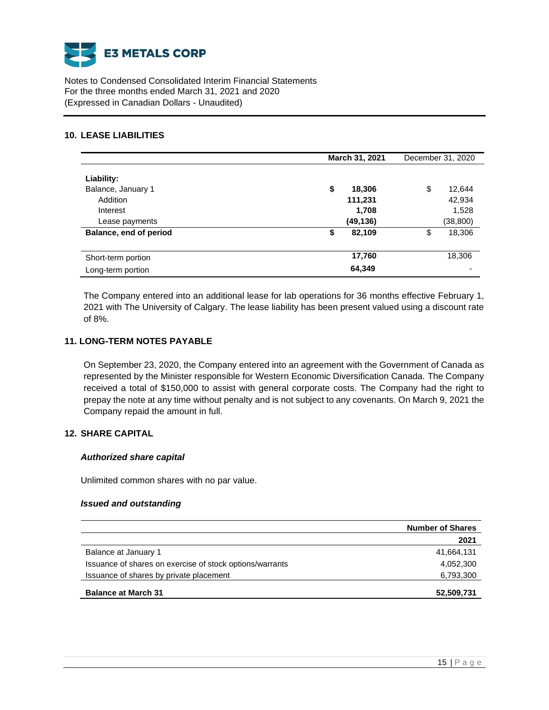

# **10. LEASE LIABILITIES**

|                                                                            | March 31, 2021                               | December 31, 2020                            |
|----------------------------------------------------------------------------|----------------------------------------------|----------------------------------------------|
| Liability:<br>Balance, January 1<br>Addition<br>Interest<br>Lease payments | \$<br>18,306<br>111,231<br>1,708<br>(49,136) | \$<br>12,644<br>42,934<br>1,528<br>(38, 800) |
| Balance, end of period                                                     | 82,109<br>\$                                 | 18,306<br>\$                                 |
| Short-term portion<br>Long-term portion                                    | 17,760<br>64,349                             | 18,306                                       |

The Company entered into an additional lease for lab operations for 36 months effective February 1, 2021 with The University of Calgary. The lease liability has been present valued using a discount rate of 8%.

# **11. LONG-TERM NOTES PAYABLE**

On September 23, 2020, the Company entered into an agreement with the Government of Canada as represented by the Minister responsible for Western Economic Diversification Canada. The Company received a total of \$150,000 to assist with general corporate costs. The Company had the right to prepay the note at any time without penalty and is not subject to any covenants. On March 9, 2021 the Company repaid the amount in full.

# **12. SHARE CAPITAL**

#### *Authorized share capital*

Unlimited common shares with no par value.

#### *Issued and outstanding*

|                                                          | <b>Number of Shares</b> |
|----------------------------------------------------------|-------------------------|
|                                                          | 2021                    |
| Balance at January 1                                     | 41,664,131              |
| Issuance of shares on exercise of stock options/warrants | 4,052,300               |
| Issuance of shares by private placement                  | 6,793,300               |
| <b>Balance at March 31</b>                               | 52,509,731              |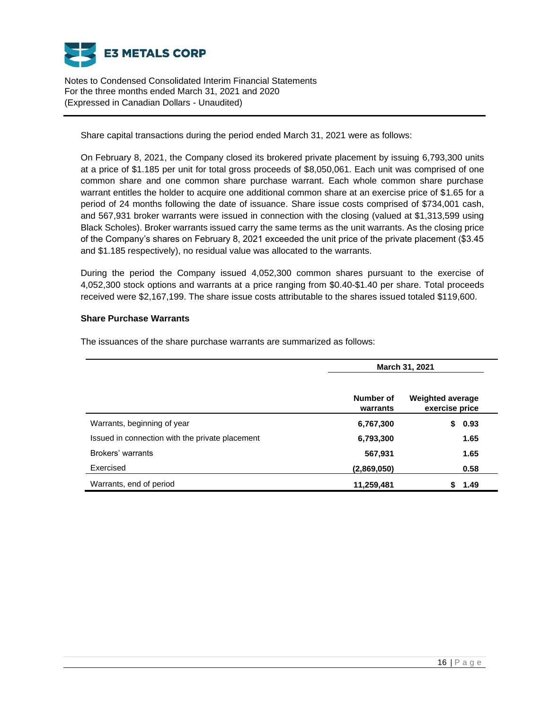

Share capital transactions during the period ended March 31, 2021 were as follows:

On February 8, 2021, the Company closed its brokered private placement by issuing 6,793,300 units at a price of \$1.185 per unit for total gross proceeds of \$8,050,061. Each unit was comprised of one common share and one common share purchase warrant. Each whole common share purchase warrant entitles the holder to acquire one additional common share at an exercise price of \$1.65 for a period of 24 months following the date of issuance. Share issue costs comprised of \$734,001 cash, and 567,931 broker warrants were issued in connection with the closing (valued at \$1,313,599 using Black Scholes). Broker warrants issued carry the same terms as the unit warrants. As the closing price of the Company's shares on February 8, 2021 exceeded the unit price of the private placement (\$3.45 and \$1.185 respectively), no residual value was allocated to the warrants.

During the period the Company issued 4,052,300 common shares pursuant to the exercise of 4,052,300 stock options and warrants at a price ranging from \$0.40-\$1.40 per share. Total proceeds received were \$2,167,199. The share issue costs attributable to the shares issued totaled \$119,600.

## **Share Purchase Warrants**

The issuances of the share purchase warrants are summarized as follows:

|                                                 |                       | March 31, 2021                            |  |  |  |
|-------------------------------------------------|-----------------------|-------------------------------------------|--|--|--|
|                                                 | Number of<br>warrants | <b>Weighted average</b><br>exercise price |  |  |  |
| Warrants, beginning of year                     | 6,767,300             | 0.93<br>S                                 |  |  |  |
| Issued in connection with the private placement | 6,793,300             | 1.65                                      |  |  |  |
| Brokers' warrants                               | 567,931               | 1.65                                      |  |  |  |
| Exercised                                       | (2,869,050)           | 0.58                                      |  |  |  |
| Warrants, end of period                         | 11,259,481            | 1.49<br>S                                 |  |  |  |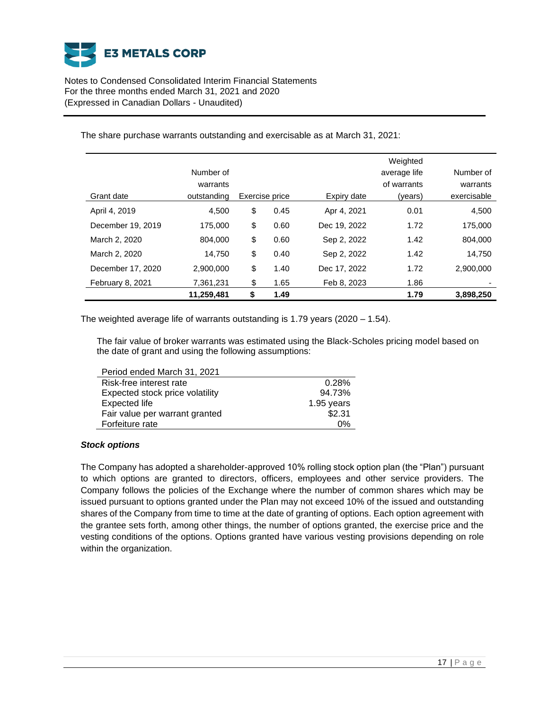

The share purchase warrants outstanding and exercisable as at March 31, 2021:

|                   |             |                |              | Weighted     |             |
|-------------------|-------------|----------------|--------------|--------------|-------------|
|                   | Number of   |                |              | average life | Number of   |
|                   | warrants    |                |              | of warrants  | warrants    |
| Grant date        | outstanding | Exercise price | Expiry date  | (years)      | exercisable |
| April 4, 2019     | 4,500       | \$<br>0.45     | Apr 4, 2021  | 0.01         | 4,500       |
| December 19, 2019 | 175.000     | \$<br>0.60     | Dec 19, 2022 | 1.72         | 175.000     |
| March 2, 2020     | 804.000     | \$<br>0.60     | Sep 2, 2022  | 1.42         | 804.000     |
| March 2, 2020     | 14.750      | \$<br>0.40     | Sep 2, 2022  | 1.42         | 14.750      |
| December 17, 2020 | 2,900,000   | \$<br>1.40     | Dec 17, 2022 | 1.72         | 2,900,000   |
| February 8, 2021  | 7,361,231   | \$<br>1.65     | Feb 8, 2023  | 1.86         |             |
|                   | 11,259,481  | \$<br>1.49     |              | 1.79         | 3,898,250   |

The weighted average life of warrants outstanding is 1.79 years (2020 – 1.54).

The fair value of broker warrants was estimated using the Black-Scholes pricing model based on the date of grant and using the following assumptions:

| Period ended March 31, 2021     |            |
|---------------------------------|------------|
| Risk-free interest rate         | 0.28%      |
| Expected stock price volatility | 94.73%     |
| Expected life                   | 1.95 years |
| Fair value per warrant granted  | \$2.31     |
| Forfeiture rate                 | 0%         |

#### *Stock options*

The Company has adopted a shareholder-approved 10% rolling stock option plan (the "Plan") pursuant to which options are granted to directors, officers, employees and other service providers. The Company follows the policies of the Exchange where the number of common shares which may be issued pursuant to options granted under the Plan may not exceed 10% of the issued and outstanding shares of the Company from time to time at the date of granting of options. Each option agreement with the grantee sets forth, among other things, the number of options granted, the exercise price and the vesting conditions of the options. Options granted have various vesting provisions depending on role within the organization.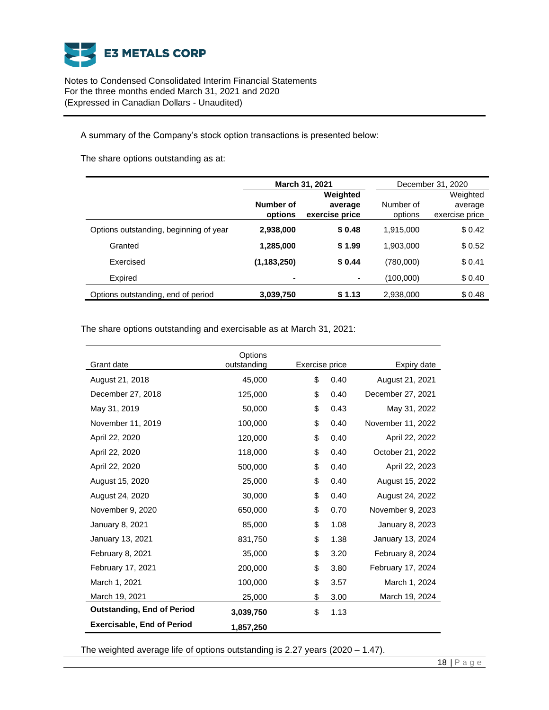

A summary of the Company's stock option transactions is presented below:

The share options outstanding as at:

|                                        |                      | <b>March 31, 2021</b>                 | December 31, 2020    |                                       |
|----------------------------------------|----------------------|---------------------------------------|----------------------|---------------------------------------|
|                                        | Number of<br>options | Weighted<br>average<br>exercise price | Number of<br>options | Weighted<br>average<br>exercise price |
| Options outstanding, beginning of year | 2,938,000            | \$0.48                                | 1,915,000            | \$0.42                                |
| Granted                                | 1,285,000            | \$1.99                                | 1,903,000            | \$0.52                                |
| Exercised                              | (1, 183, 250)        | \$0.44                                | (780,000)            | \$0.41                                |
| Expired                                | ۰                    | $\blacksquare$                        | (100,000)            | \$0.40                                |
| Options outstanding, end of period     | 3,039,750            | \$1.13                                | 2,938,000            | \$0.48                                |

The share options outstanding and exercisable as at March 31, 2021:

| Grant date                        | Options<br>outstanding | Exercise price |      | Expiry date       |
|-----------------------------------|------------------------|----------------|------|-------------------|
| August 21, 2018                   | 45,000                 | \$<br>0.40     |      | August 21, 2021   |
| December 27, 2018                 | 125,000                | \$             | 0.40 | December 27, 2021 |
| May 31, 2019                      | 50,000                 | \$             | 0.43 | May 31, 2022      |
| November 11, 2019                 | 100,000                | \$             | 0.40 | November 11, 2022 |
| April 22, 2020                    | 120,000                | \$             | 0.40 | April 22, 2022    |
| April 22, 2020                    | 118,000                | \$             | 0.40 | October 21, 2022  |
| April 22, 2020                    | 500,000                | \$             | 0.40 | April 22, 2023    |
| August 15, 2020                   | 25,000                 | \$             | 0.40 | August 15, 2022   |
| August 24, 2020                   | 30,000                 | \$             | 0.40 | August 24, 2022   |
| November 9, 2020                  | 650,000                | \$             | 0.70 | November 9, 2023  |
| January 8, 2021                   | 85,000                 | \$             | 1.08 | January 8, 2023   |
| January 13, 2021                  | 831,750                | \$             | 1.38 | January 13, 2024  |
| February 8, 2021                  | 35,000                 | \$             | 3.20 | February 8, 2024  |
| February 17, 2021                 | 200,000                | \$             | 3.80 | February 17, 2024 |
| March 1, 2021                     | 100,000                | \$             | 3.57 | March 1, 2024     |
| March 19, 2021                    | 25,000                 | \$             | 3.00 | March 19, 2024    |
| <b>Outstanding, End of Period</b> | 3,039,750              | \$             | 1.13 |                   |
| <b>Exercisable, End of Period</b> | 1,857,250              |                |      |                   |

The weighted average life of options outstanding is 2.27 years (2020 – 1.47).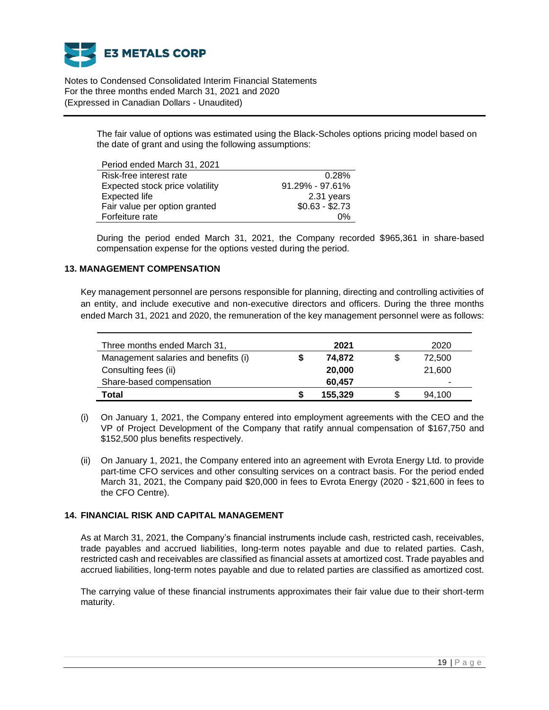

> The fair value of options was estimated using the Black-Scholes options pricing model based on the date of grant and using the following assumptions:

| Period ended March 31, 2021     |                     |
|---------------------------------|---------------------|
| Risk-free interest rate         | 0.28%               |
| Expected stock price volatility | $91.29\% - 97.61\%$ |
| <b>Expected life</b>            | 2.31 years          |
| Fair value per option granted   | $$0.63 - $2.73$     |
| Forfeiture rate                 | 0%                  |

During the period ended March 31, 2021, the Company recorded \$965,361 in share-based compensation expense for the options vested during the period.

## **13. MANAGEMENT COMPENSATION**

Key management personnel are persons responsible for planning, directing and controlling activities of an entity, and include executive and non-executive directors and officers. During the three months ended March 31, 2021 and 2020, the remuneration of the key management personnel were as follows:

| Three months ended March 31,         |   | 2021    | 2020   |
|--------------------------------------|---|---------|--------|
| Management salaries and benefits (i) |   | 74.872  | 72,500 |
| Consulting fees (ii)                 |   | 20,000  | 21,600 |
| Share-based compensation             |   | 60.457  | -      |
| Total                                | S | 155,329 | 94.100 |

- (i) On January 1, 2021, the Company entered into employment agreements with the CEO and the VP of Project Development of the Company that ratify annual compensation of \$167,750 and \$152,500 plus benefits respectively.
- (ii) On January 1, 2021, the Company entered into an agreement with Evrota Energy Ltd. to provide part-time CFO services and other consulting services on a contract basis. For the period ended March 31, 2021, the Company paid \$20,000 in fees to Evrota Energy (2020 - \$21,600 in fees to the CFO Centre).

## **14. FINANCIAL RISK AND CAPITAL MANAGEMENT**

As at March 31, 2021, the Company's financial instruments include cash, restricted cash, receivables, trade payables and accrued liabilities, long-term notes payable and due to related parties. Cash, restricted cash and receivables are classified as financial assets at amortized cost. Trade payables and accrued liabilities, long-term notes payable and due to related parties are classified as amortized cost.

The carrying value of these financial instruments approximates their fair value due to their short-term maturity.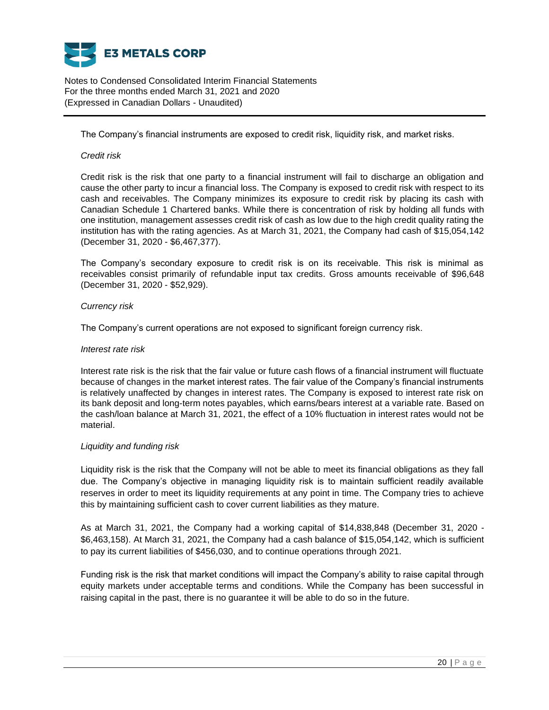

The Company's financial instruments are exposed to credit risk, liquidity risk, and market risks.

#### *Credit risk*

Credit risk is the risk that one party to a financial instrument will fail to discharge an obligation and cause the other party to incur a financial loss. The Company is exposed to credit risk with respect to its cash and receivables. The Company minimizes its exposure to credit risk by placing its cash with Canadian Schedule 1 Chartered banks. While there is concentration of risk by holding all funds with one institution, management assesses credit risk of cash as low due to the high credit quality rating the institution has with the rating agencies. As at March 31, 2021, the Company had cash of \$15,054,142 (December 31, 2020 - \$6,467,377).

The Company's secondary exposure to credit risk is on its receivable. This risk is minimal as receivables consist primarily of refundable input tax credits. Gross amounts receivable of \$96,648 (December 31, 2020 - \$52,929).

## *Currency risk*

The Company's current operations are not exposed to significant foreign currency risk.

#### *Interest rate risk*

Interest rate risk is the risk that the fair value or future cash flows of a financial instrument will fluctuate because of changes in the market interest rates. The fair value of the Company's financial instruments is relatively unaffected by changes in interest rates. The Company is exposed to interest rate risk on its bank deposit and long-term notes payables, which earns/bears interest at a variable rate. Based on the cash/loan balance at March 31, 2021, the effect of a 10% fluctuation in interest rates would not be material.

#### *Liquidity and funding risk*

Liquidity risk is the risk that the Company will not be able to meet its financial obligations as they fall due. The Company's objective in managing liquidity risk is to maintain sufficient readily available reserves in order to meet its liquidity requirements at any point in time. The Company tries to achieve this by maintaining sufficient cash to cover current liabilities as they mature.

As at March 31, 2021, the Company had a working capital of \$14,838,848 (December 31, 2020 - \$6,463,158). At March 31, 2021, the Company had a cash balance of \$15,054,142, which is sufficient to pay its current liabilities of \$456,030, and to continue operations through 2021.

Funding risk is the risk that market conditions will impact the Company's ability to raise capital through equity markets under acceptable terms and conditions. While the Company has been successful in raising capital in the past, there is no guarantee it will be able to do so in the future.